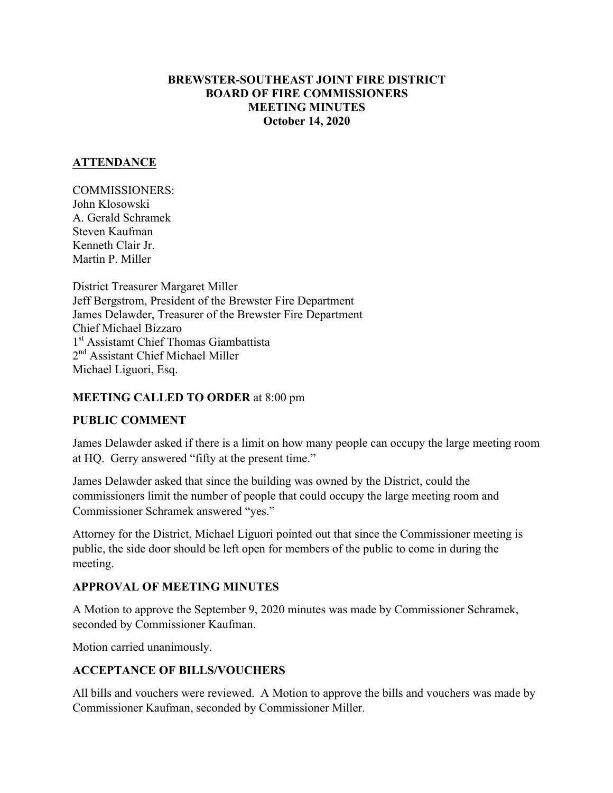#### **BREWSTER-SOUTHEAST JOINT FIRE DISTRICT BOARD OF FIRE COMMISSIONERS MEETING MINUTES October 14, 2020**

#### **ATTENDANCE**

COMMISSIONERS: John Klosowski A. Gerald Schramek Steven Kaufman Kenneth Clair Jr. Martin P. Miller

District Treasurer Margaret Miller Jeff Bergstrom, President of the Brewster Fire Department James Delawder, Treasurer of the Brewster Fire Department Chief Michael Bizzaro 1<sup>st</sup> Assistamt Chief Thomas Giambattista 2<sup>nd</sup> Assistant Chief Michael Miller Michael Liguori, Esq.

#### **MEETING CALLED TO ORDER** at 8:00 pm

#### **PUBLIC COMMENT**

James Delawder asked if there is a limit on how many people can occupy the large meeting room at HQ. Gerry answered "fifty at the present time."

James Delawder asked that since the building was owned by the District, could the commissioners limit the number of people that could occupy the large meeting room and Commissioner Schramek answered "yes."

Attorney for the District, Michael Liguori pointed out that since the Commissioner meeting is public, the side door should be left open for members of the public to come in during the meeting.

### **APPROVAL OF MEETING MINUTES**

A Motion to approve the September 9, 2020 minutes was made by Commissioner Schramek, seconded by Commissioner Kaufman.

Motion carried unanimously.

### **ACCEPTANCE OF BILLS/VOUCHERS**

All bills and vouchers were reviewed. A Motion to approve the bills and vouchers was made by Commissioner Kaufman, seconded by Commissioner Miller.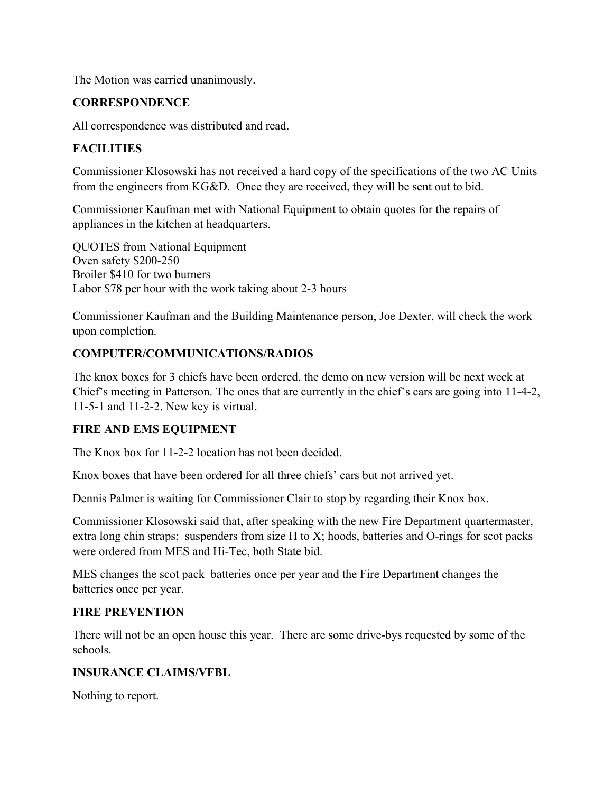The Motion was carried unanimously.

#### **CORRESPONDENCE**

All correspondence was distributed and read.

### **FACILITIES**

Commissioner Klosowski has not received a hard copy of the specifications of the two AC Units from the engineers from KG&D. Once they are received, they will be sent out to bid.

Commissioner Kaufman met with National Equipment to obtain quotes for the repairs of appliances in the kitchen at headquarters.

QUOTES from National Equipment Oven safety \$200-250 Broiler \$410 for two burners Labor \$78 per hour with the work taking about 2-3 hours

Commissioner Kaufman and the Building Maintenance person, Joe Dexter, will check the work upon completion.

### **COMPUTER/COMMUNICATIONS/RADIOS**

The knox boxes for 3 chiefs have been ordered, the demo on new version will be next week at Chief's meeting in Patterson. The ones that are currently in the chief's cars are going into 11-4-2, 11-5-1 and 11-2-2. New key is virtual.

### **FIRE AND EMS EQUIPMENT**

The Knox box for 11-2-2 location has not been decided.

Knox boxes that have been ordered for all three chiefs' cars but not arrived yet.

Dennis Palmer is waiting for Commissioner Clair to stop by regarding their Knox box.

Commissioner Klosowski said that, after speaking with the new Fire Department quartermaster, extra long chin straps; suspenders from size H to X; hoods, batteries and O-rings for scot packs were ordered from MES and Hi-Tec, both State bid.

MES changes the scot pack batteries once per year and the Fire Department changes the batteries once per year.

#### **FIRE PREVENTION**

There will not be an open house this year. There are some drive-bys requested by some of the schools.

#### **INSURANCE CLAIMS/VFBL**

Nothing to report.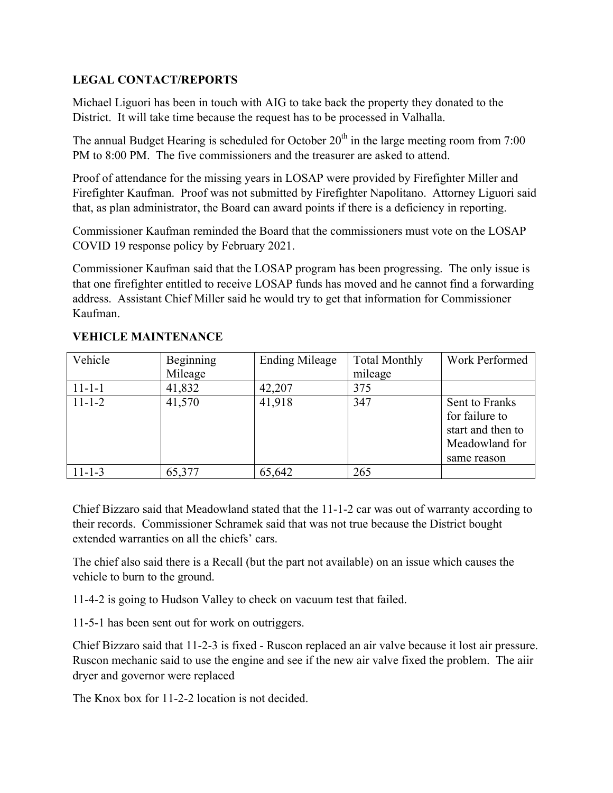### **LEGAL CONTACT/REPORTS**

Michael Liguori has been in touch with AIG to take back the property they donated to the District. It will take time because the request has to be processed in Valhalla.

The annual Budget Hearing is scheduled for October  $20<sup>th</sup>$  in the large meeting room from 7:00 PM to 8:00 PM. The five commissioners and the treasurer are asked to attend.

Proof of attendance for the missing years in LOSAP were provided by Firefighter Miller and Firefighter Kaufman. Proof was not submitted by Firefighter Napolitano. Attorney Liguori said that, as plan administrator, the Board can award points if there is a deficiency in reporting.

Commissioner Kaufman reminded the Board that the commissioners must vote on the LOSAP COVID 19 response policy by February 2021.

Commissioner Kaufman said that the LOSAP program has been progressing. The only issue is that one firefighter entitled to receive LOSAP funds has moved and he cannot find a forwarding address. Assistant Chief Miller said he would try to get that information for Commissioner Kaufman.

# **VEHICLE MAINTENANCE**

| Vehicle      | <b>Beginning</b> | <b>Ending Mileage</b> | <b>Total Monthly</b> | Work Performed                                                                         |
|--------------|------------------|-----------------------|----------------------|----------------------------------------------------------------------------------------|
|              | Mileage          |                       | mileage              |                                                                                        |
| $11 - 1 - 1$ | 41,832           | 42,207                | 375                  |                                                                                        |
| $11 - 1 - 2$ | 41,570           | 41,918                | 347                  | Sent to Franks<br>for failure to<br>start and then to<br>Meadowland for<br>same reason |
| $11 - 1 - 3$ | 65,377           | 65,642                | 265                  |                                                                                        |

Chief Bizzaro said that Meadowland stated that the 11-1-2 car was out of warranty according to their records. Commissioner Schramek said that was not true because the District bought extended warranties on all the chiefs' cars.

The chief also said there is a Recall (but the part not available) on an issue which causes the vehicle to burn to the ground.

11-4-2 is going to Hudson Valley to check on vacuum test that failed.

11-5-1 has been sent out for work on outriggers.

Chief Bizzaro said that 11-2-3 is fixed - Ruscon replaced an air valve because it lost air pressure. Ruscon mechanic said to use the engine and see if the new air valve fixed the problem. The aiir dryer and governor were replaced

The Knox box for 11-2-2 location is not decided.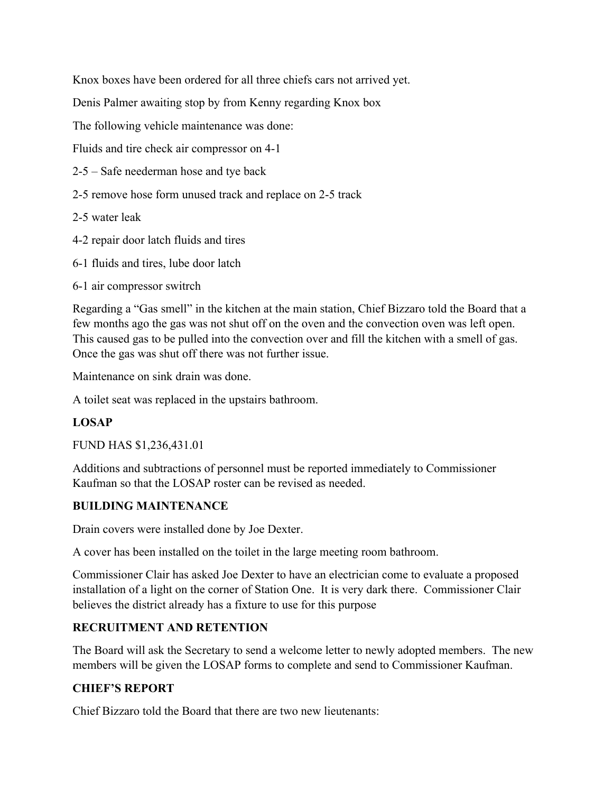Knox boxes have been ordered for all three chiefs cars not arrived yet.

Denis Palmer awaiting stop by from Kenny regarding Knox box

The following vehicle maintenance was done:

Fluids and tire check air compressor on 4-1

- 2-5 Safe neederman hose and tye back
- 2-5 remove hose form unused track and replace on 2-5 track

2-5 water leak

- 4-2 repair door latch fluids and tires
- 6-1 fluids and tires, lube door latch
- 6-1 air compressor switrch

Regarding a "Gas smell" in the kitchen at the main station, Chief Bizzaro told the Board that a few months ago the gas was not shut off on the oven and the convection oven was left open. This caused gas to be pulled into the convection over and fill the kitchen with a smell of gas. Once the gas was shut off there was not further issue.

Maintenance on sink drain was done.

A toilet seat was replaced in the upstairs bathroom.

#### **LOSAP**

FUND HAS \$1,236,431.01

Additions and subtractions of personnel must be reported immediately to Commissioner Kaufman so that the LOSAP roster can be revised as needed.

#### **BUILDING MAINTENANCE**

Drain covers were installed done by Joe Dexter.

A cover has been installed on the toilet in the large meeting room bathroom.

Commissioner Clair has asked Joe Dexter to have an electrician come to evaluate a proposed installation of a light on the corner of Station One. It is very dark there. Commissioner Clair believes the district already has a fixture to use for this purpose

#### **RECRUITMENT AND RETENTION**

The Board will ask the Secretary to send a welcome letter to newly adopted members. The new members will be given the LOSAP forms to complete and send to Commissioner Kaufman.

### **CHIEF'S REPORT**

Chief Bizzaro told the Board that there are two new lieutenants: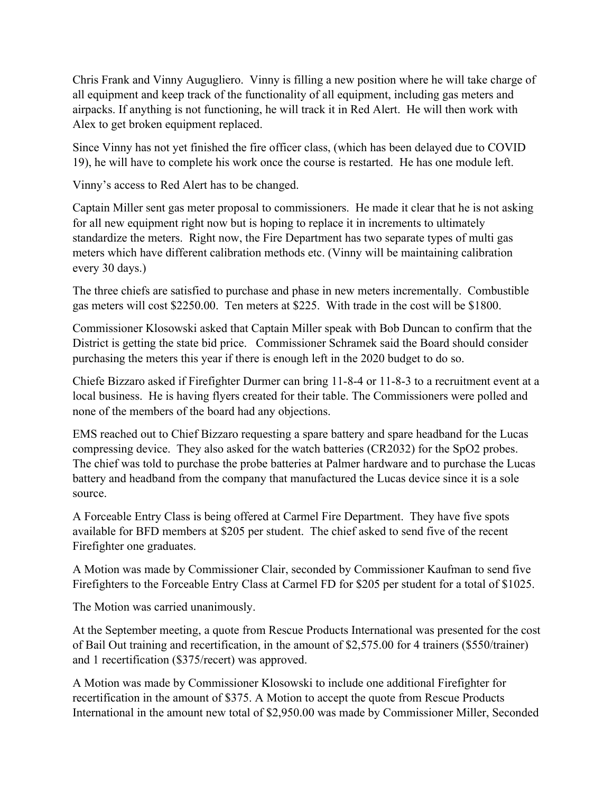Chris Frank and Vinny Augugliero. Vinny is filling a new position where he will take charge of all equipment and keep track of the functionality of all equipment, including gas meters and airpacks. If anything is not functioning, he will track it in Red Alert. He will then work with Alex to get broken equipment replaced.

Since Vinny has not yet finished the fire officer class, (which has been delayed due to COVID 19), he will have to complete his work once the course is restarted. He has one module left.

Vinny's access to Red Alert has to be changed.

Captain Miller sent gas meter proposal to commissioners. He made it clear that he is not asking for all new equipment right now but is hoping to replace it in increments to ultimately standardize the meters. Right now, the Fire Department has two separate types of multi gas meters which have different calibration methods etc. (Vinny will be maintaining calibration every 30 days.)

The three chiefs are satisfied to purchase and phase in new meters incrementally. Combustible gas meters will cost \$2250.00. Ten meters at \$225. With trade in the cost will be \$1800.

Commissioner Klosowski asked that Captain Miller speak with Bob Duncan to confirm that the District is getting the state bid price. Commissioner Schramek said the Board should consider purchasing the meters this year if there is enough left in the 2020 budget to do so.

Chiefe Bizzaro asked if Firefighter Durmer can bring 11-8-4 or 11-8-3 to a recruitment event at a local business. He is having flyers created for their table. The Commissioners were polled and none of the members of the board had any objections.

EMS reached out to Chief Bizzaro requesting a spare battery and spare headband for the Lucas compressing device. They also asked for the watch batteries (CR2032) for the SpO2 probes. The chief was told to purchase the probe batteries at Palmer hardware and to purchase the Lucas battery and headband from the company that manufactured the Lucas device since it is a sole source.

A Forceable Entry Class is being offered at Carmel Fire Department. They have five spots available for BFD members at \$205 per student. The chief asked to send five of the recent Firefighter one graduates.

A Motion was made by Commissioner Clair, seconded by Commissioner Kaufman to send five Firefighters to the Forceable Entry Class at Carmel FD for \$205 per student for a total of \$1025.

The Motion was carried unanimously.

At the September meeting, a quote from Rescue Products International was presented for the cost of Bail Out training and recertification, in the amount of \$2,575.00 for 4 trainers (\$550/trainer) and 1 recertification (\$375/recert) was approved.

A Motion was made by Commissioner Klosowski to include one additional Firefighter for recertification in the amount of \$375. A Motion to accept the quote from Rescue Products International in the amount new total of \$2,950.00 was made by Commissioner Miller, Seconded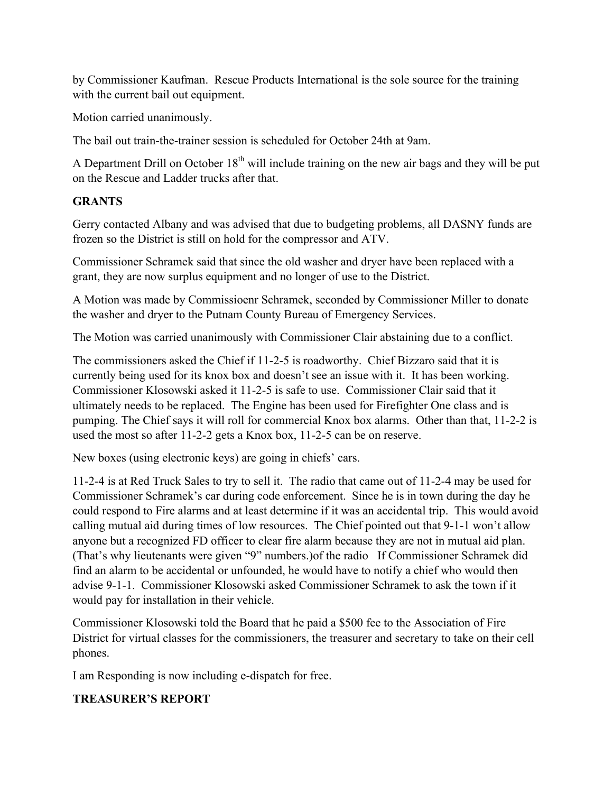by Commissioner Kaufman. Rescue Products International is the sole source for the training with the current bail out equipment.

Motion carried unanimously.

The bail out train-the-trainer session is scheduled for October 24th at 9am.

A Department Drill on October  $18<sup>th</sup>$  will include training on the new air bags and they will be put on the Rescue and Ladder trucks after that.

### **GRANTS**

Gerry contacted Albany and was advised that due to budgeting problems, all DASNY funds are frozen so the District is still on hold for the compressor and ATV.

Commissioner Schramek said that since the old washer and dryer have been replaced with a grant, they are now surplus equipment and no longer of use to the District.

A Motion was made by Commissioenr Schramek, seconded by Commissioner Miller to donate the washer and dryer to the Putnam County Bureau of Emergency Services.

The Motion was carried unanimously with Commissioner Clair abstaining due to a conflict.

The commissioners asked the Chief if 11-2-5 is roadworthy. Chief Bizzaro said that it is currently being used for its knox box and doesn't see an issue with it. It has been working. Commissioner Klosowski asked it 11-2-5 is safe to use. Commissioner Clair said that it ultimately needs to be replaced. The Engine has been used for Firefighter One class and is pumping. The Chief says it will roll for commercial Knox box alarms. Other than that, 11-2-2 is used the most so after 11-2-2 gets a Knox box, 11-2-5 can be on reserve.

New boxes (using electronic keys) are going in chiefs' cars.

11-2-4 is at Red Truck Sales to try to sell it. The radio that came out of 11-2-4 may be used for Commissioner Schramek's car during code enforcement. Since he is in town during the day he could respond to Fire alarms and at least determine if it was an accidental trip. This would avoid calling mutual aid during times of low resources. The Chief pointed out that 9-1-1 won't allow anyone but a recognized FD officer to clear fire alarm because they are not in mutual aid plan. (That's why lieutenants were given "9" numbers.)of the radio If Commissioner Schramek did find an alarm to be accidental or unfounded, he would have to notify a chief who would then advise 9-1-1. Commissioner Klosowski asked Commissioner Schramek to ask the town if it would pay for installation in their vehicle.

Commissioner Klosowski told the Board that he paid a \$500 fee to the Association of Fire District for virtual classes for the commissioners, the treasurer and secretary to take on their cell phones.

I am Responding is now including e-dispatch for free.

### **TREASURER'S REPORT**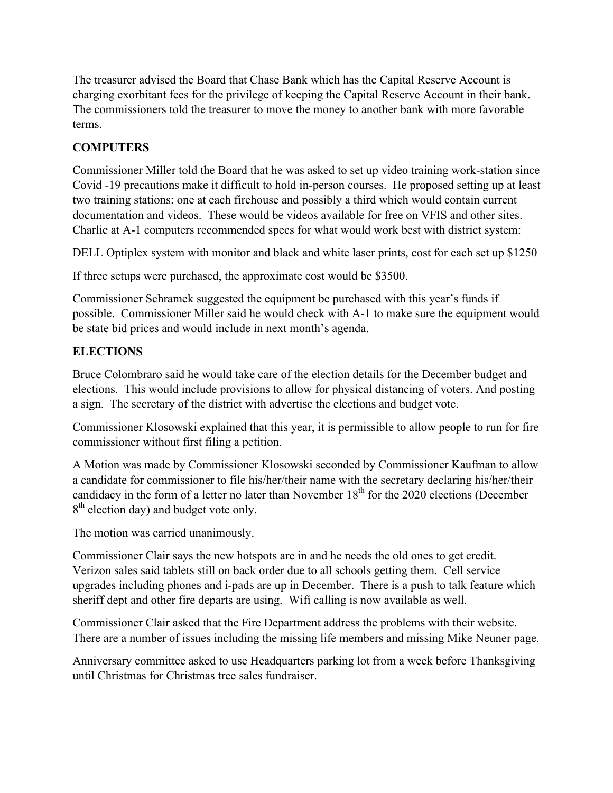The treasurer advised the Board that Chase Bank which has the Capital Reserve Account is charging exorbitant fees for the privilege of keeping the Capital Reserve Account in their bank. The commissioners told the treasurer to move the money to another bank with more favorable terms.

## **COMPUTERS**

Commissioner Miller told the Board that he was asked to set up video training work-station since Covid -19 precautions make it difficult to hold in-person courses. He proposed setting up at least two training stations: one at each firehouse and possibly a third which would contain current documentation and videos. These would be videos available for free on VFIS and other sites. Charlie at A-1 computers recommended specs for what would work best with district system:

DELL Optiplex system with monitor and black and white laser prints, cost for each set up \$1250

If three setups were purchased, the approximate cost would be \$3500.

Commissioner Schramek suggested the equipment be purchased with this year's funds if possible. Commissioner Miller said he would check with A-1 to make sure the equipment would be state bid prices and would include in next month's agenda.

### **ELECTIONS**

Bruce Colombraro said he would take care of the election details for the December budget and elections. This would include provisions to allow for physical distancing of voters. And posting a sign. The secretary of the district with advertise the elections and budget vote.

Commissioner Klosowski explained that this year, it is permissible to allow people to run for fire commissioner without first filing a petition.

A Motion was made by Commissioner Klosowski seconded by Commissioner Kaufman to allow a candidate for commissioner to file his/her/their name with the secretary declaring his/her/their candidacy in the form of a letter no later than November  $18<sup>th</sup>$  for the 2020 elections (December 8<sup>th</sup> election day) and budget vote only.

The motion was carried unanimously.

Commissioner Clair says the new hotspots are in and he needs the old ones to get credit. Verizon sales said tablets still on back order due to all schools getting them. Cell service upgrades including phones and i-pads are up in December. There is a push to talk feature which sheriff dept and other fire departs are using. Wifi calling is now available as well.

Commissioner Clair asked that the Fire Department address the problems with their website. There are a number of issues including the missing life members and missing Mike Neuner page.

Anniversary committee asked to use Headquarters parking lot from a week before Thanksgiving until Christmas for Christmas tree sales fundraiser.